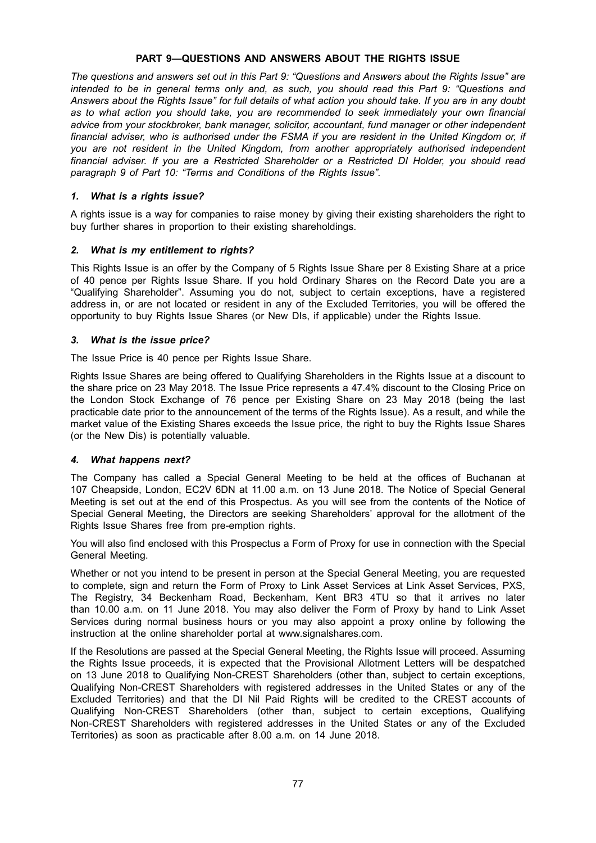## **PART 9—QUESTIONS AND ANSWERS ABOUT THE RIGHTS ISSUE**

The questions and answers set out in this Part 9: "Questions and Answers about the Rights Issue" are *intended to be in general terms only and, as such, you should read this Part 9: "Questions and* Answers about the Rights Issue" for full details of what action you should take. If you are in any doubt *as to what action you should take, you are recommended to seek immediately your own financial advice from your stockbroker, bank manager, solicitor, accountant, fund manager or other independent* financial adviser, who is authorised under the FSMA if you are resident in the United Kingdom or, if *you are not resident in the United Kingdom, from another appropriately authorised independent financial adviser. If you are a Restricted Shareholder or a Restricted DI Holder, you should read paragraph 9 of Part 10: "Terms and Conditions of the Rights Issue".*

## *1. What is a rights issue?*

A rights issue is a way for companies to raise money by giving their existing shareholders the right to buy further shares in proportion to their existing shareholdings.

# *2. What is my entitlement to rights?*

This Rights Issue is an offer by the Company of 5 Rights Issue Share per 8 Existing Share at a price of 40 pence per Rights Issue Share. If you hold Ordinary Shares on the Record Date you are a "Qualifying Shareholder". Assuming you do not, subject to certain exceptions, have a registered address in, or are not located or resident in any of the Excluded Territories, you will be offered the opportunity to buy Rights Issue Shares (or New DIs, if applicable) under the Rights Issue.

# *3. What is the issue price?*

The Issue Price is 40 pence per Rights Issue Share.

Rights Issue Shares are being offered to Qualifying Shareholders in the Rights Issue at a discount to the share price on 23 May 2018. The Issue Price represents a 47.4% discount to the Closing Price on the London Stock Exchange of 76 pence per Existing Share on 23 May 2018 (being the last practicable date prior to the announcement of the terms of the Rights Issue). As a result, and while the market value of the Existing Shares exceeds the Issue price, the right to buy the Rights Issue Shares (or the New Dis) is potentially valuable.

## *4. What happens next?*

The Company has called a Special General Meeting to be held at the offices of Buchanan at 107 Cheapside, London, EC2V 6DN at 11.00 a.m. on 13 June 2018. The Notice of Special General Meeting is set out at the end of this Prospectus. As you will see from the contents of the Notice of Special General Meeting, the Directors are seeking Shareholders' approval for the allotment of the Rights Issue Shares free from pre-emption rights.

You will also find enclosed with this Prospectus a Form of Proxy for use in connection with the Special General Meeting.

Whether or not you intend to be present in person at the Special General Meeting, you are requested to complete, sign and return the Form of Proxy to Link Asset Services at Link Asset Services, PXS, The Registry, 34 Beckenham Road, Beckenham, Kent BR3 4TU so that it arrives no later than 10.00 a.m. on 11 June 2018. You may also deliver the Form of Proxy by hand to Link Asset Services during normal business hours or you may also appoint a proxy online by following the instruction at the online shareholder portal at www.signalshares.com.

If the Resolutions are passed at the Special General Meeting, the Rights Issue will proceed. Assuming the Rights Issue proceeds, it is expected that the Provisional Allotment Letters will be despatched on 13 June 2018 to Qualifying Non-CREST Shareholders (other than, subject to certain exceptions, Qualifying Non-CREST Shareholders with registered addresses in the United States or any of the Excluded Territories) and that the DI Nil Paid Rights will be credited to the CREST accounts of Qualifying Non-CREST Shareholders (other than, subject to certain exceptions, Qualifying Non-CREST Shareholders with registered addresses in the United States or any of the Excluded Territories) as soon as practicable after 8.00 a.m. on 14 June 2018.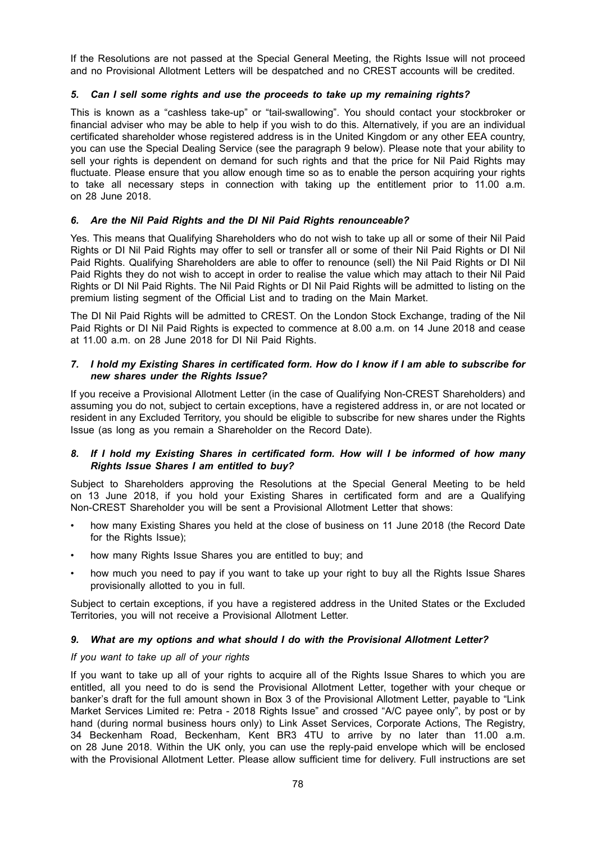If the Resolutions are not passed at the Special General Meeting, the Rights Issue will not proceed and no Provisional Allotment Letters will be despatched and no CREST accounts will be credited.

## *5. Can I sell some rights and use the proceeds to take up my remaining rights?*

This is known as a "cashless take-up" or "tail-swallowing". You should contact your stockbroker or financial adviser who may be able to help if you wish to do this. Alternatively, if you are an individual certificated shareholder whose registered address is in the United Kingdom or any other EEA country, you can use the Special Dealing Service (see the paragraph 9 below). Please note that your ability to sell your rights is dependent on demand for such rights and that the price for Nil Paid Rights may fluctuate. Please ensure that you allow enough time so as to enable the person acquiring your rights to take all necessary steps in connection with taking up the entitlement prior to 11.00 a.m. on 28 June 2018.

## *6. Are the Nil Paid Rights and the DI Nil Paid Rights renounceable?*

Yes. This means that Qualifying Shareholders who do not wish to take up all or some of their Nil Paid Rights or DI Nil Paid Rights may offer to sell or transfer all or some of their Nil Paid Rights or DI Nil Paid Rights. Qualifying Shareholders are able to offer to renounce (sell) the Nil Paid Rights or DI Nil Paid Rights they do not wish to accept in order to realise the value which may attach to their Nil Paid Rights or DI Nil Paid Rights. The Nil Paid Rights or DI Nil Paid Rights will be admitted to listing on the premium listing segment of the Official List and to trading on the Main Market.

The DI Nil Paid Rights will be admitted to CREST. On the London Stock Exchange, trading of the Nil Paid Rights or DI Nil Paid Rights is expected to commence at 8.00 a.m. on 14 June 2018 and cease at 11.00 a.m. on 28 June 2018 for DI Nil Paid Rights.

### 7. I hold my Existing Shares in certificated form. How do I know if I am able to subscribe for *new shares under the Rights Issue?*

If you receive a Provisional Allotment Letter (in the case of Qualifying Non-CREST Shareholders) and assuming you do not, subject to certain exceptions, have a registered address in, or are not located or resident in any Excluded Territory, you should be eligible to subscribe for new shares under the Rights Issue (as long as you remain a Shareholder on the Record Date).

## *8. If I hold my Existing Shares in certificated form. How will I be informed of how many Rights Issue Shares I am entitled to buy?*

Subject to Shareholders approving the Resolutions at the Special General Meeting to be held on 13 June 2018, if you hold your Existing Shares in certificated form and are a Qualifying Non-CREST Shareholder you will be sent a Provisional Allotment Letter that shows:

- how many Existing Shares you held at the close of business on 11 June 2018 (the Record Date for the Rights Issue);
- how many Rights Issue Shares you are entitled to buy; and
- how much you need to pay if you want to take up your right to buy all the Rights Issue Shares provisionally allotted to you in full.

Subject to certain exceptions, if you have a registered address in the United States or the Excluded Territories, you will not receive a Provisional Allotment Letter.

## *9. What are my options and what should I do with the Provisional Allotment Letter?*

#### *If you want to take up all of your rights*

If you want to take up all of your rights to acquire all of the Rights Issue Shares to which you are entitled, all you need to do is send the Provisional Allotment Letter, together with your cheque or banker's draft for the full amount shown in Box 3 of the Provisional Allotment Letter, payable to "Link Market Services Limited re: Petra - 2018 Rights Issue" and crossed "A/C payee only", by post or by hand (during normal business hours only) to Link Asset Services, Corporate Actions, The Registry, 34 Beckenham Road, Beckenham, Kent BR3 4TU to arrive by no later than 11.00 a.m. on 28 June 2018. Within the UK only, you can use the reply-paid envelope which will be enclosed with the Provisional Allotment Letter. Please allow sufficient time for delivery. Full instructions are set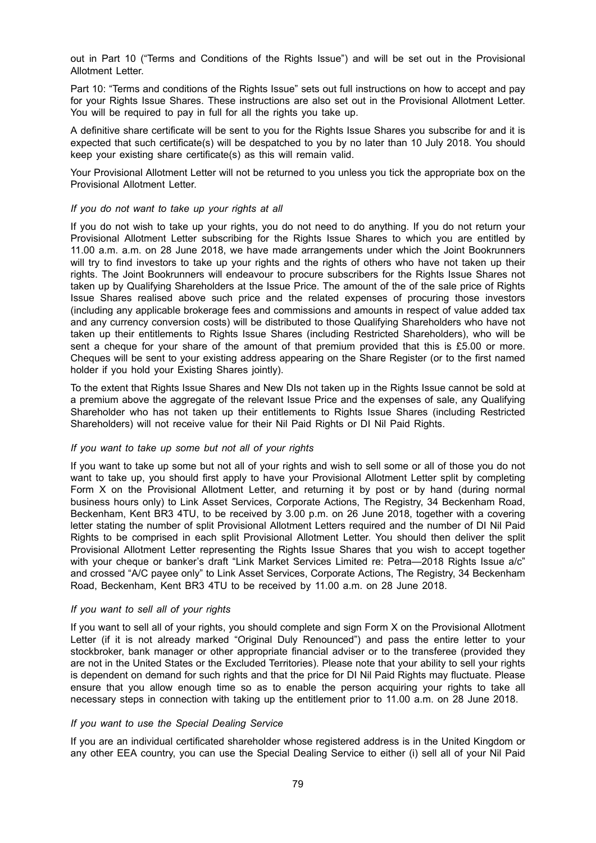out in Part 10 ("Terms and Conditions of the Rights Issue") and will be set out in the Provisional Allotment Letter.

Part 10: "Terms and conditions of the Rights Issue" sets out full instructions on how to accept and pay for your Rights Issue Shares. These instructions are also set out in the Provisional Allotment Letter. You will be required to pay in full for all the rights you take up.

A definitive share certificate will be sent to you for the Rights Issue Shares you subscribe for and it is expected that such certificate(s) will be despatched to you by no later than 10 July 2018. You should keep your existing share certificate(s) as this will remain valid.

Your Provisional Allotment Letter will not be returned to you unless you tick the appropriate box on the Provisional Allotment Letter.

#### *If you do not want to take up your rights at all*

If you do not wish to take up your rights, you do not need to do anything. If you do not return your Provisional Allotment Letter subscribing for the Rights Issue Shares to which you are entitled by 11.00 a.m. a.m. on 28 June 2018, we have made arrangements under which the Joint Bookrunners will try to find investors to take up your rights and the rights of others who have not taken up their rights. The Joint Bookrunners will endeavour to procure subscribers for the Rights Issue Shares not taken up by Qualifying Shareholders at the Issue Price. The amount of the of the sale price of Rights Issue Shares realised above such price and the related expenses of procuring those investors (including any applicable brokerage fees and commissions and amounts in respect of value added tax and any currency conversion costs) will be distributed to those Qualifying Shareholders who have not taken up their entitlements to Rights Issue Shares (including Restricted Shareholders), who will be sent a cheque for your share of the amount of that premium provided that this is £5.00 or more. Cheques will be sent to your existing address appearing on the Share Register (or to the first named holder if you hold your Existing Shares jointly).

To the extent that Rights Issue Shares and New DIs not taken up in the Rights Issue cannot be sold at a premium above the aggregate of the relevant Issue Price and the expenses of sale, any Qualifying Shareholder who has not taken up their entitlements to Rights Issue Shares (including Restricted Shareholders) will not receive value for their Nil Paid Rights or DI Nil Paid Rights.

#### *If you want to take up some but not all of your rights*

If you want to take up some but not all of your rights and wish to sell some or all of those you do not want to take up, you should first apply to have your Provisional Allotment Letter split by completing Form X on the Provisional Allotment Letter, and returning it by post or by hand (during normal business hours only) to Link Asset Services, Corporate Actions, The Registry, 34 Beckenham Road, Beckenham, Kent BR3 4TU, to be received by 3.00 p.m. on 26 June 2018, together with a covering letter stating the number of split Provisional Allotment Letters required and the number of DI Nil Paid Rights to be comprised in each split Provisional Allotment Letter. You should then deliver the split Provisional Allotment Letter representing the Rights Issue Shares that you wish to accept together with your cheque or banker's draft "Link Market Services Limited re: Petra-2018 Rights Issue a/c" and crossed "A/C payee only" to Link Asset Services, Corporate Actions, The Registry, 34 Beckenham Road, Beckenham, Kent BR3 4TU to be received by 11.00 a.m. on 28 June 2018.

#### *If you want to sell all of your rights*

If you want to sell all of your rights, you should complete and sign Form X on the Provisional Allotment Letter (if it is not already marked "Original Duly Renounced") and pass the entire letter to your stockbroker, bank manager or other appropriate financial adviser or to the transferee (provided they are not in the United States or the Excluded Territories). Please note that your ability to sell your rights is dependent on demand for such rights and that the price for DI Nil Paid Rights may fluctuate. Please ensure that you allow enough time so as to enable the person acquiring your rights to take all necessary steps in connection with taking up the entitlement prior to 11.00 a.m. on 28 June 2018.

#### *If you want to use the Special Dealing Service*

If you are an individual certificated shareholder whose registered address is in the United Kingdom or any other EEA country, you can use the Special Dealing Service to either (i) sell all of your Nil Paid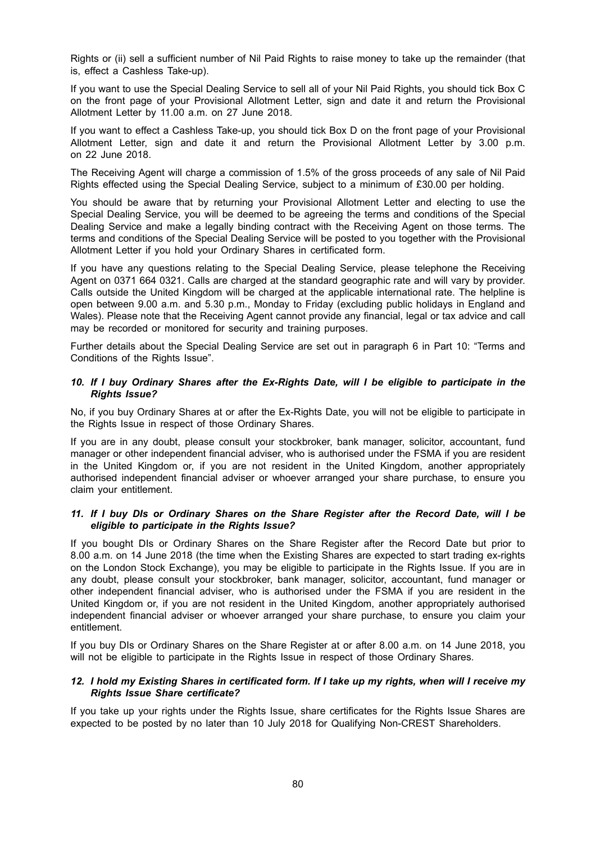Rights or (ii) sell a sufficient number of Nil Paid Rights to raise money to take up the remainder (that is, effect a Cashless Take-up).

If you want to use the Special Dealing Service to sell all of your Nil Paid Rights, you should tick Box C on the front page of your Provisional Allotment Letter, sign and date it and return the Provisional Allotment Letter by 11.00 a.m. on 27 June 2018.

If you want to effect a Cashless Take-up, you should tick Box D on the front page of your Provisional Allotment Letter, sign and date it and return the Provisional Allotment Letter by 3.00 p.m. on 22 June 2018.

The Receiving Agent will charge a commission of 1.5% of the gross proceeds of any sale of Nil Paid Rights effected using the Special Dealing Service, subject to a minimum of £30.00 per holding.

You should be aware that by returning your Provisional Allotment Letter and electing to use the Special Dealing Service, you will be deemed to be agreeing the terms and conditions of the Special Dealing Service and make a legally binding contract with the Receiving Agent on those terms. The terms and conditions of the Special Dealing Service will be posted to you together with the Provisional Allotment Letter if you hold your Ordinary Shares in certificated form.

If you have any questions relating to the Special Dealing Service, please telephone the Receiving Agent on 0371 664 0321. Calls are charged at the standard geographic rate and will vary by provider. Calls outside the United Kingdom will be charged at the applicable international rate. The helpline is open between 9.00 a.m. and 5.30 p.m., Monday to Friday (excluding public holidays in England and Wales). Please note that the Receiving Agent cannot provide any financial, legal or tax advice and call may be recorded or monitored for security and training purposes.

Further details about the Special Dealing Service are set out in paragraph 6 in Part 10: "Terms and Conditions of the Rights Issue".

### *10. If I buy Ordinary Shares after the Ex-Rights Date, will I be eligible to participate in the Rights Issue?*

No, if you buy Ordinary Shares at or after the Ex-Rights Date, you will not be eligible to participate in the Rights Issue in respect of those Ordinary Shares.

If you are in any doubt, please consult your stockbroker, bank manager, solicitor, accountant, fund manager or other independent financial adviser, who is authorised under the FSMA if you are resident in the United Kingdom or, if you are not resident in the United Kingdom, another appropriately authorised independent financial adviser or whoever arranged your share purchase, to ensure you claim your entitlement.

### *11. If I buy DIs or Ordinary Shares on the Share Register after the Record Date, will I be eligible to participate in the Rights Issue?*

If you bought DIs or Ordinary Shares on the Share Register after the Record Date but prior to 8.00 a.m. on 14 June 2018 (the time when the Existing Shares are expected to start trading ex-rights on the London Stock Exchange), you may be eligible to participate in the Rights Issue. If you are in any doubt, please consult your stockbroker, bank manager, solicitor, accountant, fund manager or other independent financial adviser, who is authorised under the FSMA if you are resident in the United Kingdom or, if you are not resident in the United Kingdom, another appropriately authorised independent financial adviser or whoever arranged your share purchase, to ensure you claim your entitlement.

If you buy DIs or Ordinary Shares on the Share Register at or after 8.00 a.m. on 14 June 2018, you will not be eligible to participate in the Rights Issue in respect of those Ordinary Shares.

### 12. I hold my Existing Shares in certificated form. If I take up my rights, when will I receive my *Rights Issue Share certificate?*

If you take up your rights under the Rights Issue, share certificates for the Rights Issue Shares are expected to be posted by no later than 10 July 2018 for Qualifying Non-CREST Shareholders.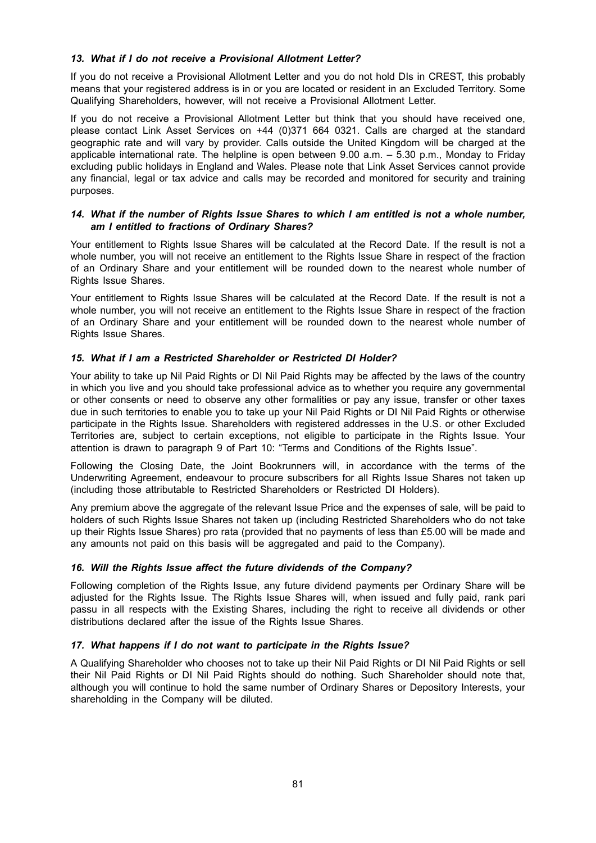## *13. What if I do not receive a Provisional Allotment Letter?*

If you do not receive a Provisional Allotment Letter and you do not hold DIs in CREST, this probably means that your registered address is in or you are located or resident in an Excluded Territory. Some Qualifying Shareholders, however, will not receive a Provisional Allotment Letter.

If you do not receive a Provisional Allotment Letter but think that you should have received one, please contact Link Asset Services on +44 (0)371 664 0321. Calls are charged at the standard geographic rate and will vary by provider. Calls outside the United Kingdom will be charged at the applicable international rate. The helpline is open between 9.00 a.m. – 5.30 p.m., Monday to Friday excluding public holidays in England and Wales. Please note that Link Asset Services cannot provide any financial, legal or tax advice and calls may be recorded and monitored for security and training purposes.

### *14. What if the number of Rights Issue Shares to which I am entitled is not a whole number, am I entitled to fractions of Ordinary Shares?*

Your entitlement to Rights Issue Shares will be calculated at the Record Date. If the result is not a whole number, you will not receive an entitlement to the Rights Issue Share in respect of the fraction of an Ordinary Share and your entitlement will be rounded down to the nearest whole number of Rights Issue Shares.

Your entitlement to Rights Issue Shares will be calculated at the Record Date. If the result is not a whole number, you will not receive an entitlement to the Rights Issue Share in respect of the fraction of an Ordinary Share and your entitlement will be rounded down to the nearest whole number of Rights Issue Shares.

## *15. What if I am a Restricted Shareholder or Restricted DI Holder?*

Your ability to take up Nil Paid Rights or DI Nil Paid Rights may be affected by the laws of the country in which you live and you should take professional advice as to whether you require any governmental or other consents or need to observe any other formalities or pay any issue, transfer or other taxes due in such territories to enable you to take up your Nil Paid Rights or DI Nil Paid Rights or otherwise participate in the Rights Issue. Shareholders with registered addresses in the U.S. or other Excluded Territories are, subject to certain exceptions, not eligible to participate in the Rights Issue. Your attention is drawn to paragraph 9 of Part 10: "Terms and Conditions of the Rights Issue".

Following the Closing Date, the Joint Bookrunners will, in accordance with the terms of the Underwriting Agreement, endeavour to procure subscribers for all Rights Issue Shares not taken up (including those attributable to Restricted Shareholders or Restricted DI Holders).

Any premium above the aggregate of the relevant Issue Price and the expenses of sale, will be paid to holders of such Rights Issue Shares not taken up (including Restricted Shareholders who do not take up their Rights Issue Shares) pro rata (provided that no payments of less than £5.00 will be made and any amounts not paid on this basis will be aggregated and paid to the Company).

## *16. Will the Rights Issue affect the future dividends of the Company?*

Following completion of the Rights Issue, any future dividend payments per Ordinary Share will be adjusted for the Rights Issue. The Rights Issue Shares will, when issued and fully paid, rank pari passu in all respects with the Existing Shares, including the right to receive all dividends or other distributions declared after the issue of the Rights Issue Shares.

#### *17. What happens if I do not want to participate in the Rights Issue?*

A Qualifying Shareholder who chooses not to take up their Nil Paid Rights or DI Nil Paid Rights or sell their Nil Paid Rights or DI Nil Paid Rights should do nothing. Such Shareholder should note that, although you will continue to hold the same number of Ordinary Shares or Depository Interests, your shareholding in the Company will be diluted.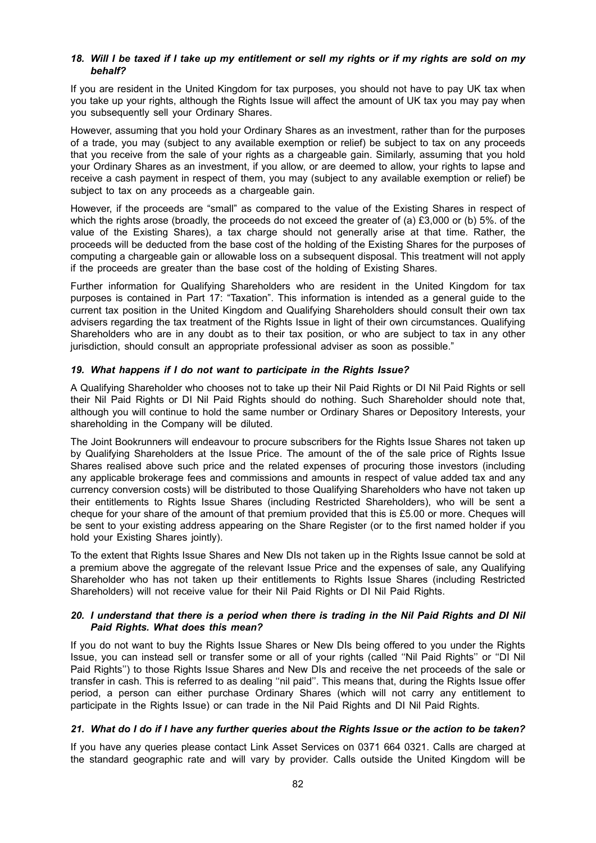## 18. Will I be taxed if I take up my entitlement or sell my rights or if my rights are sold on my *behalf?*

If you are resident in the United Kingdom for tax purposes, you should not have to pay UK tax when you take up your rights, although the Rights Issue will affect the amount of UK tax you may pay when you subsequently sell your Ordinary Shares.

However, assuming that you hold your Ordinary Shares as an investment, rather than for the purposes of a trade, you may (subject to any available exemption or relief) be subject to tax on any proceeds that you receive from the sale of your rights as a chargeable gain. Similarly, assuming that you hold your Ordinary Shares as an investment, if you allow, or are deemed to allow, your rights to lapse and receive a cash payment in respect of them, you may (subject to any available exemption or relief) be subject to tax on any proceeds as a chargeable gain.

However, if the proceeds are "small" as compared to the value of the Existing Shares in respect of which the rights arose (broadly, the proceeds do not exceed the greater of (a) £3,000 or (b) 5%. of the value of the Existing Shares), a tax charge should not generally arise at that time. Rather, the proceeds will be deducted from the base cost of the holding of the Existing Shares for the purposes of computing a chargeable gain or allowable loss on a subsequent disposal. This treatment will not apply if the proceeds are greater than the base cost of the holding of Existing Shares.

Further information for Qualifying Shareholders who are resident in the United Kingdom for tax purposes is contained in Part 17: "Taxation". This information is intended as a general guide to the current tax position in the United Kingdom and Qualifying Shareholders should consult their own tax advisers regarding the tax treatment of the Rights Issue in light of their own circumstances. Qualifying Shareholders who are in any doubt as to their tax position, or who are subject to tax in any other jurisdiction, should consult an appropriate professional adviser as soon as possible."

### *19. What happens if I do not want to participate in the Rights Issue?*

A Qualifying Shareholder who chooses not to take up their Nil Paid Rights or DI Nil Paid Rights or sell their Nil Paid Rights or DI Nil Paid Rights should do nothing. Such Shareholder should note that, although you will continue to hold the same number or Ordinary Shares or Depository Interests, your shareholding in the Company will be diluted.

The Joint Bookrunners will endeavour to procure subscribers for the Rights Issue Shares not taken up by Qualifying Shareholders at the Issue Price. The amount of the of the sale price of Rights Issue Shares realised above such price and the related expenses of procuring those investors (including any applicable brokerage fees and commissions and amounts in respect of value added tax and any currency conversion costs) will be distributed to those Qualifying Shareholders who have not taken up their entitlements to Rights Issue Shares (including Restricted Shareholders), who will be sent a cheque for your share of the amount of that premium provided that this is £5.00 or more. Cheques will be sent to your existing address appearing on the Share Register (or to the first named holder if you hold your Existing Shares jointly).

To the extent that Rights Issue Shares and New DIs not taken up in the Rights Issue cannot be sold at a premium above the aggregate of the relevant Issue Price and the expenses of sale, any Qualifying Shareholder who has not taken up their entitlements to Rights Issue Shares (including Restricted Shareholders) will not receive value for their Nil Paid Rights or DI Nil Paid Rights.

#### 20. I understand that there is a period when there is trading in the Nil Paid Rights and DI Nil *Paid Rights. What does this mean?*

If you do not want to buy the Rights Issue Shares or New DIs being offered to you under the Rights Issue, you can instead sell or transfer some or all of your rights (called ''Nil Paid Rights'' or ''DI Nil Paid Rights'') to those Rights Issue Shares and New DIs and receive the net proceeds of the sale or transfer in cash. This is referred to as dealing ''nil paid''. This means that, during the Rights Issue offer period, a person can either purchase Ordinary Shares (which will not carry any entitlement to participate in the Rights Issue) or can trade in the Nil Paid Rights and DI Nil Paid Rights.

## 21. What do I do if I have any further queries about the Rights Issue or the action to be taken?

If you have any queries please contact Link Asset Services on 0371 664 0321. Calls are charged at the standard geographic rate and will vary by provider. Calls outside the United Kingdom will be